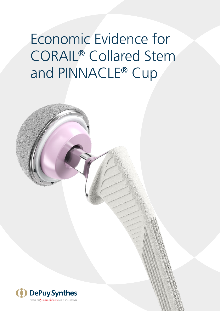Economic Evidence for CORAIL® Collared Stem and PINNACLE® Cup

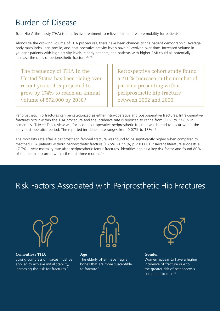#### Burden of Disease

Total Hip Arthroplasty (THA) is an effective treatment to relieve pain and restore mobility for patients.

Alongside the growing volume of THA procedures, there have been changes to the patient demographic. Average body mass index, age profile, and post-operative activity levels have all evolved over time. Increased volume in younger patients with high activity levels, elderly patients, and patients with higher BMI could all potentially increase the rates of periprosthetic fracture.2,7,16

The frequency of THA in the United States has been rising over recent years; it is projected to grow by 174% to reach an annual volume of 572,000 by 2030.<sup>1</sup>

Retrospective cohort study found a 216% increase in the number of patients presenting with a periprosthetic hip fracture between 2002 and 2006.<sup>3</sup>

Periprosthetic hip fractures can be categorized as either intra-operative and post-operative fractures. Intra-operative fractures occur within the THA procedure and the incidence rate is reported to range from 0.1% to 27.8% in cementless THA.4-5 This review will focus on post-operative periprosthetic fracture which tend to occur within the early post-operative period. The reported incidence rate ranges from 0.07% to 18%.<sup>4-5</sup>

The mortality rate after a periprosthetic femoral fracture was found to be significantly higher when compared to matched THA patients without periprosthetic fracture (16.5% vs 2.9%, p < 0.0001).3 Recent literature suggests a 17.7% 1-year mortality rate after periprosthetic femur fractures, identifies age as a key risk factor and found 80% of the deaths occurred within the first three months.15

## Risk Factors Associated with Periprosthetic Hip Fractures



**Cementless THA** Strong compression forces must be applied to achieve initial stability, increasing the risk for fractures.6



**Age**  The elderly often have fragile bones that are more susceptible to fracture.7



#### **Gender**

Women appear to have a higher incidence of fracture due to the greater risk of osteoporosis compared to men.8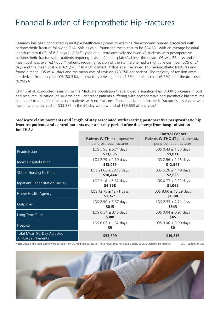#### Financial Burden of Periprosthetic Hip Fractures

Research has been conducted in multiple healthcare systems to examine the economic burden associated with periprosthetic fracture following THA. Shields et al. found the mean cost to be \$24,831 with an average hospital length of stay (LOS) of 6.3 days ( $\pm$  8.8).<sup>15</sup> Lyons et al. retrospectively reviewed 48 patients with postoperative periprosthetic fractures; for patients requiring revision (stem + plates/cables), the mean LOS was 26 days and the mean cost was over €27,000.16 Patients requiring revision of the stem alone had a slightly lower mean LOS of 21 days and the mean cost was €21,945.16 In a UK context Phillips et al. reviewed 146 periprosthetic fractures and found a mean LOS of 41 days and the mean cost of revision £23,756 per patient. The majority of revision costs are derived from hospital LOS (80.3%), followed by investigations (7.3%), implant costs (6.7%), and theatre costs  $(5.7\%)$ .<sup>17</sup>

Chitnis et al. conducted research on the Medicare population that showed a significant (p<0.0001) increase in cost and resource utilization (at 90-days and 1-year) for patients suffering with postoperative peri-prosthetic hip fractures compared to a matched cohort of patients with no fractures. Postoperative periprosthetic fracture is associated with mean incremental cost of \$33,882 in the 90-day window and of \$39,853 at one year.<sup>8</sup>

**Medicare claim payments and length of stay associated with treating postoperative periprosthetic hip fracture patients and control patients over a 90-day period after discharge from hospitalization for THA.<sup>8</sup>**

|                                                  | Patients <b>WITH</b> post-operative<br>periprosthetic fractures | <b>Control Cohort</b><br>Patients <b>WITHOUT</b> post-operative<br>periprosthetic fractures |
|--------------------------------------------------|-----------------------------------------------------------------|---------------------------------------------------------------------------------------------|
| Readmission                                      | LOS 5.95 $\pm$ 5.74 days<br>\$21,885                            | LOS $0.43 \pm 1.86$ days<br>\$1,071                                                         |
| Index Hospitalization                            | LOS 2.79 $\pm$ 1.60 days<br>\$13,059                            | LOS 2.56 $\pm$ 1.28 days<br>\$12,545                                                        |
| <b>Skilled Nursing Facilities</b>                | LOS 21.03 $\pm$ 23.10 days<br>\$10,444                          | LOS 5.26 ±11.49 days<br>\$2,665                                                             |
| Inpatient Rehabilitation Facility                | LOS $3.16 \pm 6.82$ days<br>\$4,598                             | LOS $0.77 \pm 2.99$ days<br>\$1,069                                                         |
| Home Health Agency                               | LOS 12.75 $\pm$ 12.71 days<br>\$2,471                           | LOS $8.60 \pm 10.29$ days<br>\$1880                                                         |
| Outpatient                                       | LOS $2.90 \pm 3.37$ days<br>\$815                               | LOS 2.35 $\pm$ 2.74 days<br>\$543                                                           |
| Long-Term Care                                   | LOS $0.34 \pm 3.10$ days<br>\$388                               | LOS $0.04 \pm 0.97$ days<br>\$45                                                            |
| Hospice                                          | LOS $0.05 \pm 1.32$ days<br>\$9                                 | LOS $0.00 \pm 0.00$ days<br>\$0                                                             |
| Total Mean 90-Day Adjusted<br>All-Cause Payments | \$53,699                                                        | \$19,817                                                                                    |

Note: Costs in the table above were derived from US Medicare database. These values may not equally apply to EMEA healthcare markets

LOS = Length of Stay

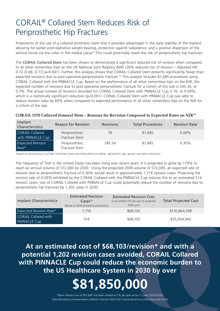### CORAIL® Collared Stem Reduces Risk of Periprosthetic Hip Fractures

Proponents of the use of a collared prosthesis claim that it provides advantages in the early stability of the implant, allowing for earlier post-operative weight bearing, protection against subsidence, and a positive dispersion of the vertical forces via the collar in the medial calcar.<sup>9</sup> This could potentially lower the risk of periprosthetic hip fractures.

The CORAIL Collared Stem has been shown to demonstrate a significant reduced risk of revision when compared to all other cementless hips on the UK National Joint Registry (NJR) (28% reduced risk of revision – Adjusted HR 0.72 (0.68, 0.77) p<0.001). Further, this analysis shows that CORAIL Collared Stem presents significantly fewer than expected revisions due to post-operative periprosthetic fracture.<sup>10</sup> This analysis includes 81,685 procedures using CORAIL Collared with the PINNACLE Cup. Based on the performance of all other cementless hips on the NJR, the expected number of revisions due to post-operative periprosthetic fracture for a cohort of this size is 245.34, or 0.3%. The actual number of revisions recorded for CORAIL Collared Stem with PINNACLE Cup is 76, or 0.09%, which is a statistically significant reduction (p<0.001). CORAIL Collared Stem with PINNACLE Cup was able to reduce revision rates by 69% when compared to expected performance of all other cementless hips on the NJR for a cohort of the size.

|  |  |  | CORAIL STD Collared Femoral Stem – Reasons for Revision Compared to Expected Rates on NJR <sup>10</sup> |
|--|--|--|---------------------------------------------------------------------------------------------------------|
|  |  |  |                                                                                                         |

| Implant<br>Characteristics                  | <b>Reason for Revision</b>      | <b>Revisions</b> | <b>Total Procedures</b> | <b>Revision Rate</b> |
|---------------------------------------------|---------------------------------|------------------|-------------------------|----------------------|
| <b>CORAIL Collared</b><br>with PINNACLE Cup | Periprosthetic<br>Fracture Stem | 76               | 81.685                  | $0.09\%$             |
| <b>Expected Revision</b><br>Rate*           | Periprosthetic<br>Fracture Stem | 245.34           | 81.685                  | $0.30\%$             |

\*Based on performance of all NJR Cementless Stems (excluding Metal-on-Metal), adjusted for age, gender, and other indications

The frequency of THA in the United States has been rising over recent years. It is projected to grow by 174% to reach an annual volume of 572,000 by 2030.<sup>1</sup> Using the projected 2030 volume of 572,000, an expected rate of revision due to periprosthetic fracture of 0.30% would result in approximately 1,716 revision cases. Projecting the revision rate of 0.09% exhibited by the CORAIL Collared with the PINNACLE Cup reduces this to an estimated 514 revision cases. Use of CORAIL Collared with PINNACLE Cup could potentially reduce the number of revisions due to periprosthetic hip fractures by 1,202 cases in 2030.

| <b>Implant Characteristics</b>                     | <b>Estimated Revision</b><br>$\text{Case}5^{10}$<br>(Based on 2030 procedure projections) | <b>Estimated Revision Cost</b><br>(Cost inflated 2% per year to projected<br>2030 cost) | <b>Total Projected Cost</b> |
|----------------------------------------------------|-------------------------------------------------------------------------------------------|-----------------------------------------------------------------------------------------|-----------------------------|
| <b>Expected Revision Rate*</b>                     | 1.716                                                                                     | \$68,103                                                                                | \$116,864,748               |
| <b>CORAIL Collared with</b><br><b>PINNACLE Cup</b> | 514                                                                                       | \$68,103                                                                                | \$35,004,942                |

**At an estimated cost of \$68,103/revision\* and with a potential 1,202 revision cases avoided, CORAIL Collared with PINNACLE Cup could reduce the economic burden to the US Healthcare System in 2030 by over**

# **\$81,850,000**

\*Mean revision cost of \$53,6998 has been inflated at 2% per year across 11 years (2019-2030) <https://knoema.com/kyaewad/us-inflation-forecast-2020-2021-and-long-term-to-2060-data-and-charts>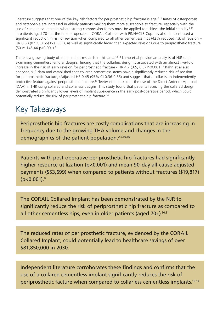Literature suggests that one of the key risk factors for periprosthetic hip fracture is age.<sup>7,10</sup> Rates of osteoporosis and osteopenia are increased in elderly patients making them more susceptible to fracture, especially with the use of cementless implants where strong compression forces must be applied to achieve the initial stability.<sup>7,10</sup> In patients aged 70+ at the time of operation, CORAIL Collared with PINNACLE Cup has also demonstrated a significant reduction in risk of revision when compared to all other cementless hips (42% reduced risk of revision – HR 0.58 (0.52, 0.65) P<0.001), as well as significantly fewer than expected revisions due to periprosthetic fracture (50 vs 145.44 p<0.001).11

There is a growing body of independent research in this area.<sup>12-14</sup> Lamb et al provide an analysis of NJR data examining cementless femoral designs, finding that the collarless design is associated with an almost five-fold increase in the risk of early revision for periprosthetic fracture - HR 4.7 (3.5, 6.3) P<0.001.12 Kahn et al also analysed NJR data and established that collared cementless stems have a significantly reduced risk of revision for periprosthetic fracture, (Adjusted HR 0.45 (95% CI 0.36-0.55) and suggest that a collar is an independently protective feature against periprosthetic fracture.<sup>13</sup> Teeter et al looked at the use of the Direct Anterior Approach (DAA) in THR using collared and collarless designs. This study found that patients receiving the collared design demonstrated significantly lower levels of implant subsidence in the early post-operative period, which could potentially reduce the risk of periprosthetic hip fracture.14

#### Key Takeaways

Periprosthetic hip fractures are costly complications that are increasing in frequency due to the growing THA volume and changes in the demographics of the patient population.2,7,10,16

Patients with post-operative periprosthetic hip fractures had significantly higher resource utilization (p<0.001) and mean 90-day all-cause adjusted payments (\$53,699) when compared to patients without fractures (\$19,817)  $(p<0.001).$ <sup>8</sup>

The CORAIL Collared Implant has been demonstrated by the NJR to significantly reduce the risk of periprosthetic hip fracture as compared to all other cementless hips, even in older patients (aged  $70+$ ).<sup>10,11</sup>

The reduced rates of periprosthetic fracture, evidenced by the CORAIL Collared Implant, could potentially lead to healthcare savings of over \$81,850,000 in 2030.

Independent literature corroborates these findings and confirms that the use of a collared cementless implant significantly reduces the risk of periprosthetic facture when compared to collarless cementless implants.12-14